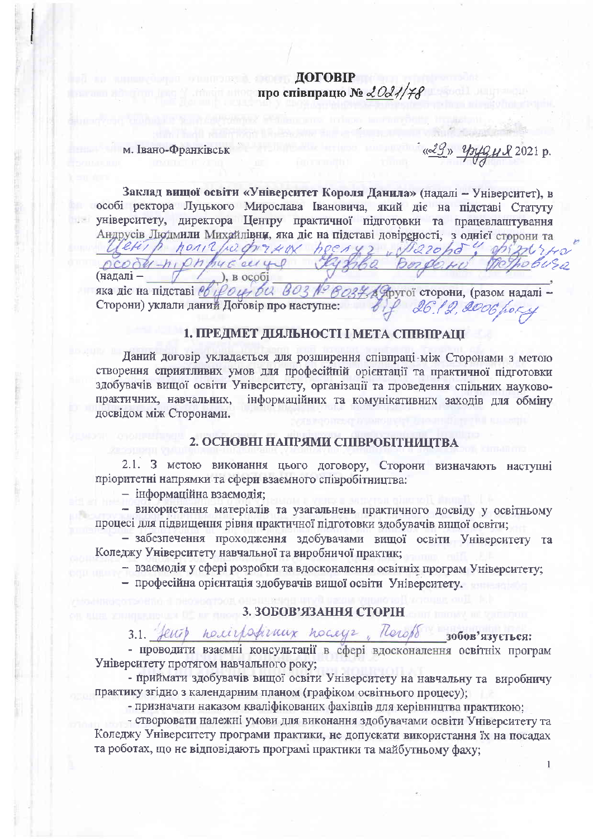# **ДОГОВІР** про співпрацю № 2021/78

### м. Івано-Франківськ

<u>(29) Spygu 2021</u> p.

Заклад вищої освіти «Університет Короля Данила» (надалі - Університет), в особі ректора Луцького Мирослава Івановича, який діє на підставі Статуту університету, директора Центру практичної підготовки та працевлаштування Андрусів Людмили Михайлівни, яка діє на підставі довіреності, з однієї сторони та

ocody-niphpyceuge typhe ПОЗНОВИЗО  $,$   $)$ ,  $B$   $0 \in \overline{0}$ (надаліяка діє на підставі во році би воз Ловоз Доругої сторони, (разом надалі-Сторони) уклали даний Дойовір про наступне: 26.12.2006 hors

Cletish hondburghersen heenes wilsond! prizatrio

#### 1. ПРЕДМЕТ ДІЯЛЬНОСТІ І МЕТА СПІВПРАШ

Даний договір укладається для розширення співпраці між Сторонами з метою створення сприятливих умов для професійній орієнтації та практичної пілготовки здобувачів вищої освіти Університету, організації та проведення спільних науковопрактичних, навчальних, інформаційних та комунікативних захолів для обміну досвідом між Сторонами.

## 2. ОСНОВНІ НАПРЯМИ СПІВРОБІТНИЦТВА

 $2.1.$ 3 метою виконання цього договору, Сторони визначають наступні пріоритетні напрямки та сфери взаємного співробітництва:

- інформаційна взаємодія;

- використання матеріалів та узагальнень практичного досвіду у освітньому процесі для підвищення рівня практичної підготовки здобувачів вищої освіти;

- забезпечення проходження здобувачами вищої освіти Університету та Коледжу Університету навчальної та виробничої практик:

- взаємодія у сфері розробки та вдосконалення освітніх програм Університету;

- професійна орієнтація здобувачів вищої освіти Університету.

#### 3. ЗОБОВ'ЯЗАННЯ СТОРІН

feuit nominforman noneys, Thereft зобов'язується:

- проводити взаємні консультації в сфері вдосконалення освітніх програм Університету протягом навчального року;

- приймати здобувачів вищої освіти Університету на навчальну та виробничу практику згідно з календарним планом (графіком освітнього процесу);

- призначати наказом кваліфікованих фахівців для керівництва практикою;

- створювати належні умови для виконання здобувачами освіти Університету та Коледжу Університету програми практики, не допускати використання їх на посадах та роботах, що не відповідають програмі практики та майбутньому фаху: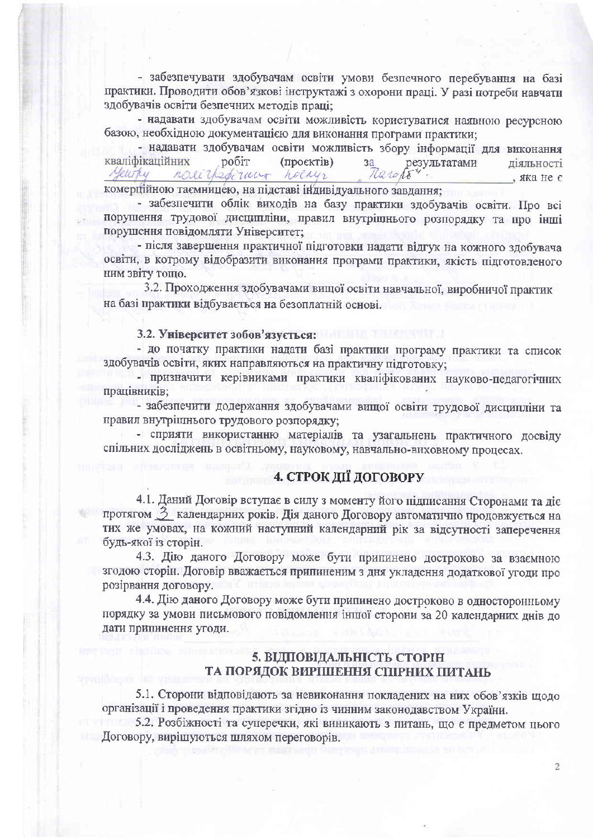- забезпечувати здобувачам освіти умови безпечного перебування на базі практики. Проводити обов'язкові інструктажі з охорони праці. У разі потреби навчати здобувачів освіти безпечних методів праці:

- надавати здобувачам освіти можливість користуватися наявною ресурсною базою, необхідною документацією для виконання програми практики;

- надавати здобувачам освіти можливість збору інформації для виконання кваліфікаційних робіт (проєктів) результатами ліяльності  $3a$ nocilpstimmer necays Meurky Rarcho , яка не є

комерційною таємницею, на підставі індивідуального завдання;

- забезпечити облік виходів на базу практики здобувачів освіти. Про всі порушення трудової дисципліни, правил внутрішнього розпорядку та про інші порушення повідомляти Університет;

- після завершення практичної підготовки надати відгук на кожного здобувача освіти, в котрому відобразити виконання програми практики, якість підготовленого ним звіту тощо.

3.2. Проходження здобувачами вищої освіти навчальної, виробничої практик на базі практики відбувається на безоплатній основі.

#### 3.2. Університет зобов'язується:

- до початку практики надати базі практики програму практики та список здобувачів освіти, яких направляються на практичну підготовку;

- призначити керівниками практики кваліфікованих науково-педагогічних працівників:

- забезпечити додержання здобувачами вищої освіти трудової дисципліни та правил внутрішнього трудового розпорядку;

- сприяти використанню матеріалів та узагальнень практичного досвіду спільних досліджень в освітньому, науковому, навчально-виховному процесах.

# 4. СТРОК ДІЇ ДОГОВОРУ

4.1. Даний Договір вступає в силу з моменту його підписання Сторонами та діє протягом  $\beta$  календарних років. Дія даного Договору автоматично продовжується на тих же умовах, на кожний наступний календарний рік за відсутності заперечення будь-якої із сторін.

4.3. Дію даного Договору може бути припинено достроково за взаємною згодою сторін. Договір вважається припиненим з дня укладення додаткової угоди про розірвання договору.

4.4. Дію даного Договору може бути припинено достроково в односторонньому порядку за умови письмового повідомлення іншої сторони за 20 календарних днів до дати припинення угоди.

## 5. ВІДПОВІДАЛЬНІСТЬ СТОРІН ТА ПОРЯДОК ВИРІШЕННЯ СПІРНИХ ПИТАНЬ

5.1. Сторони відповідають за невиконання покладених на них обов'язків щодо організації і проведення практики згідно із чинним законодавством України.

5.2. Розбіжності та суперечки, які виникають з питань, що є предметом цього Договору, вирішуються шляхом переговорів.